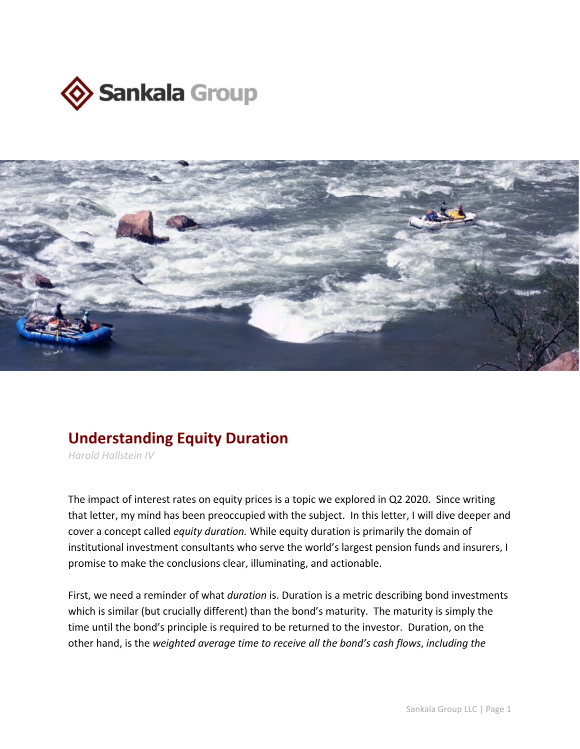



## **Understanding Equity Duration**

*Harold Hallstein IV*

The impact of interest rates on equity prices is a topic we explored in Q2 2020. Since writing that letter, my mind has been preoccupied with the subject. In this letter, I will dive deeper and cover a concept called *equity duration.* While equity duration is primarily the domain of institutional investment consultants who serve the world's largest pension funds and insurers, I promise to make the conclusions clear, illuminating, and actionable.

First, we need a reminder of what *duration* is. Duration is a metric describing bond investments which is similar (but crucially different) than the bond's maturity. The maturity is simply the time until the bond's principle is required to be returned to the investor. Duration, on the other hand, is the *weighted average time to receive all the bond's cash flows*, *including the*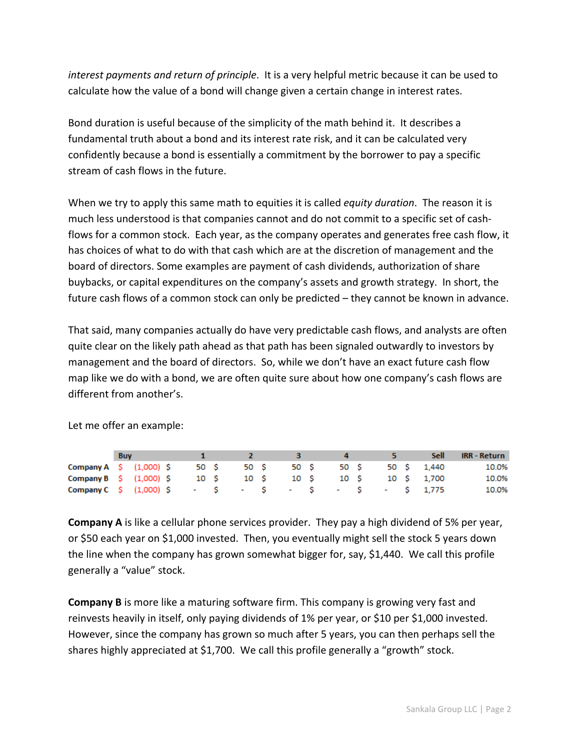*interest payments and return of principle*. It is a very helpful metric because it can be used to calculate how the value of a bond will change given a certain change in interest rates.

Bond duration is useful because of the simplicity of the math behind it. It describes a fundamental truth about a bond and its interest rate risk, and it can be calculated very confidently because a bond is essentially a commitment by the borrower to pay a specific stream of cash flows in the future.

When we try to apply this same math to equities it is called *equity duration*. The reason it is much less understood is that companies cannot and do not commit to a specific set of cashflows for a common stock. Each year, as the company operates and generates free cash flow, it has choices of what to do with that cash which are at the discretion of management and the board of directors. Some examples are payment of cash dividends, authorization of share buybacks, or capital expenditures on the company's assets and growth strategy. In short, the future cash flows of a common stock can only be predicted – they cannot be known in advance.

That said, many companies actually do have very predictable cash flows, and analysts are often quite clear on the likely path ahead as that path has been signaled outwardly to investors by management and the board of directors. So, while we don't have an exact future cash flow map like we do with a bond, we are often quite sure about how one company's cash flows are different from another's.

|                                                 | <b>Buv</b> |  |      |                     |  |           |  | Sell       | <b>IRR - Return</b> |
|-------------------------------------------------|------------|--|------|---------------------|--|-----------|--|------------|---------------------|
| Company A $\lesssim$ (1,000) S                  |            |  | 50 S | 50 S                |  | 50 S 50 S |  | 50 S 1,440 | 10.0%               |
| Company $B \quad S \quad (1,000) \quad S$       |            |  |      | 10 S 10 S 10 S 10 S |  |           |  | 10 S 1,700 | 10.0%               |
| Company C S (1,000) S - S - S - S - S - S 1,775 |            |  |      |                     |  |           |  |            | 10.0%               |

Let me offer an example:

**Company A** is like a cellular phone services provider. They pay a high dividend of 5% per year, or \$50 each year on \$1,000 invested. Then, you eventually might sell the stock 5 years down the line when the company has grown somewhat bigger for, say, \$1,440. We call this profile generally a "value" stock.

**Company B** is more like a maturing software firm. This company is growing very fast and reinvests heavily in itself, only paying dividends of 1% per year, or \$10 per \$1,000 invested. However, since the company has grown so much after 5 years, you can then perhaps sell the shares highly appreciated at \$1,700. We call this profile generally a "growth" stock.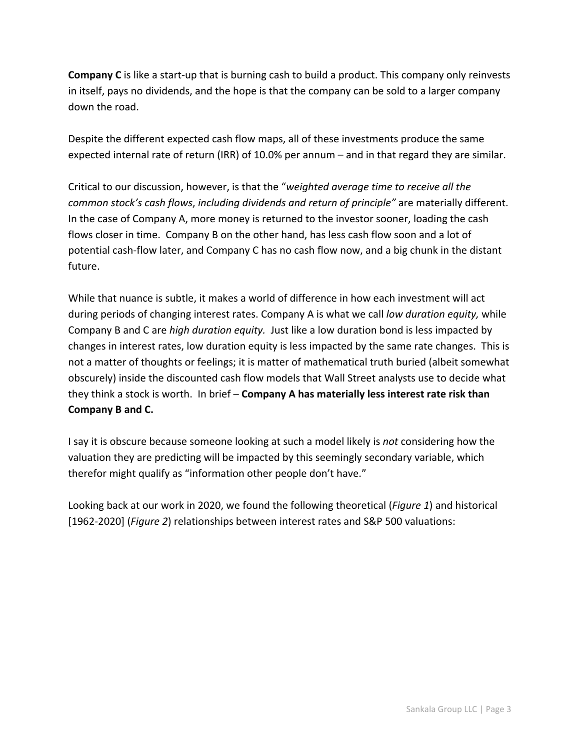**Company C** is like a start-up that is burning cash to build a product. This company only reinvests in itself, pays no dividends, and the hope is that the company can be sold to a larger company down the road.

Despite the different expected cash flow maps, all of these investments produce the same expected internal rate of return (IRR) of 10.0% per annum – and in that regard they are similar.

Critical to our discussion, however, is that the "*weighted average time to receive all the common stock's cash flows*, *including dividends and return of principle"* are materially different. In the case of Company A, more money is returned to the investor sooner, loading the cash flows closer in time. Company B on the other hand, has less cash flow soon and a lot of potential cash-flow later, and Company C has no cash flow now, and a big chunk in the distant future.

While that nuance is subtle, it makes a world of difference in how each investment will act during periods of changing interest rates. Company A is what we call *low duration equity,* while Company B and C are *high duration equity.* Just like a low duration bond is less impacted by changes in interest rates, low duration equity is less impacted by the same rate changes. This is not a matter of thoughts or feelings; it is matter of mathematical truth buried (albeit somewhat obscurely) inside the discounted cash flow models that Wall Street analysts use to decide what they think a stock is worth. In brief – **Company A has materially less interest rate risk than Company B and C.**

I say it is obscure because someone looking at such a model likely is *not* considering how the valuation they are predicting will be impacted by this seemingly secondary variable, which therefor might qualify as "information other people don't have."

Looking back at our work in 2020, we found the following theoretical (*Figure 1*) and historical [1962-2020] (*Figure 2*) relationships between interest rates and S&P 500 valuations: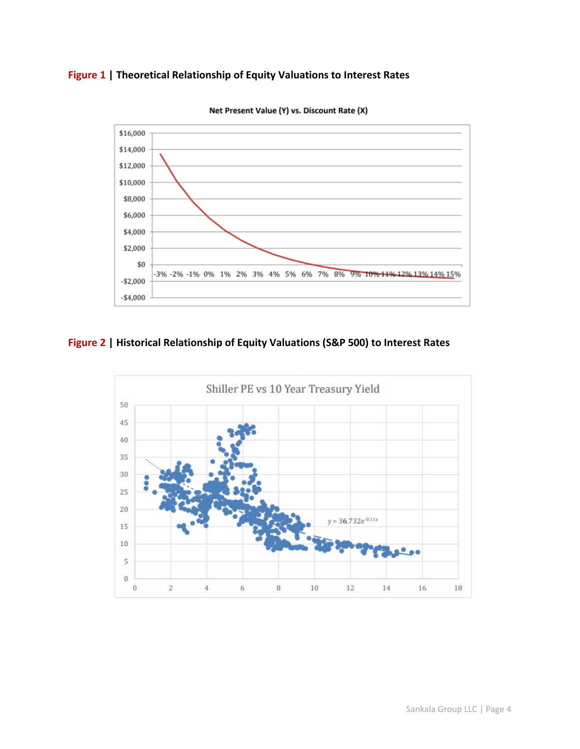## **Figure 1 | Theoretical Relationship of Equity Valuations to Interest Rates**



Net Present Value (Y) vs. Discount Rate (X)

## **Figure 2 | Historical Relationship of Equity Valuations (S&P 500) to Interest Rates**

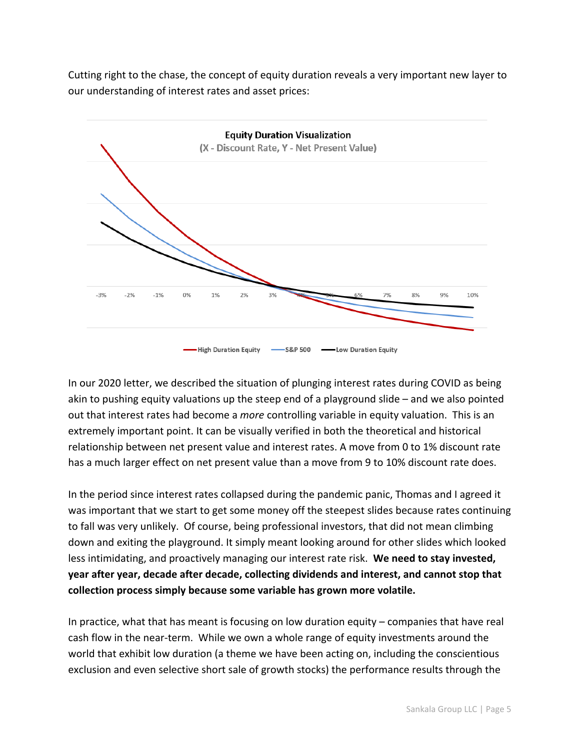Cutting right to the chase, the concept of equity duration reveals a very important new layer to our understanding of interest rates and asset prices:



In our 2020 letter, we described the situation of plunging interest rates during COVID as being akin to pushing equity valuations up the steep end of a playground slide – and we also pointed out that interest rates had become a *more* controlling variable in equity valuation. This is an extremely important point. It can be visually verified in both the theoretical and historical relationship between net present value and interest rates. A move from 0 to 1% discount rate has a much larger effect on net present value than a move from 9 to 10% discount rate does.

In the period since interest rates collapsed during the pandemic panic, Thomas and I agreed it was important that we start to get some money off the steepest slides because rates continuing to fall was very unlikely. Of course, being professional investors, that did not mean climbing down and exiting the playground. It simply meant looking around for other slides which looked less intimidating, and proactively managing our interest rate risk. **We need to stay invested, year after year, decade after decade, collecting dividends and interest, and cannot stop that collection process simply because some variable has grown more volatile.**

In practice, what that has meant is focusing on low duration equity – companies that have real cash flow in the near-term. While we own a whole range of equity investments around the world that exhibit low duration (a theme we have been acting on, including the conscientious exclusion and even selective short sale of growth stocks) the performance results through the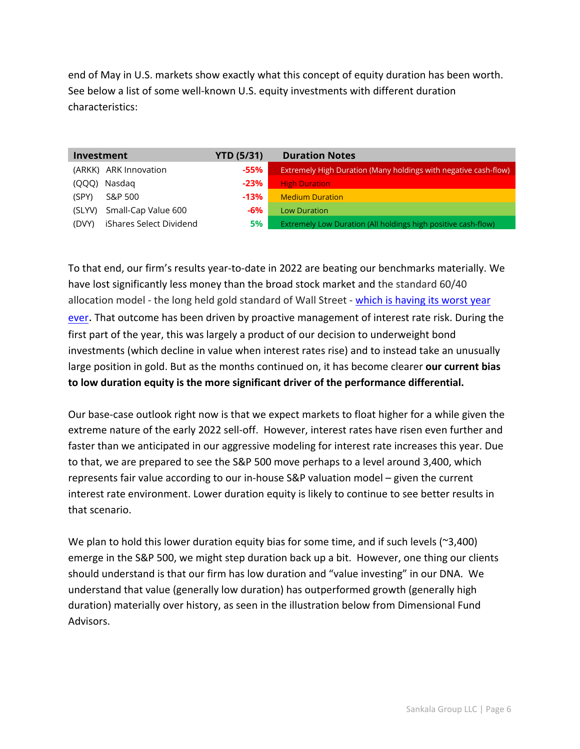end of May in U.S. markets show exactly what this concept of equity duration has been worth. See below a list of some well-known U.S. equity investments with different duration characteristics:

| Investment                       | <b>YTD (5/31)</b> | <b>Duration Notes</b>                                           |  |  |  |  |  |
|----------------------------------|-------------------|-----------------------------------------------------------------|--|--|--|--|--|
| (ARKK) ARK Innovation            | $-55%$            | Extremely High Duration (Many holdings with negative cash-flow) |  |  |  |  |  |
| Nasdag<br>(OOO)                  | $-23%$            | <b>High Duration</b>                                            |  |  |  |  |  |
| S&P 500<br>(SPY)                 | $-13%$            | <b>Medium Duration</b>                                          |  |  |  |  |  |
| Small-Cap Value 600<br>(SLYV)    | -6%               | <b>Low Duration</b>                                             |  |  |  |  |  |
| iShares Select Dividend<br>(DVY) | <b>5%</b>         | Extremely Low Duration (All holdings high positive cash-flow)   |  |  |  |  |  |

To that end, our firm's results year-to-date in 2022 are beating our benchmarks materially. We have lost significantly less money than the broad stock market and the standard 60/40 allocation model - the long held gold standard of Wall Street - [which is having its worst year](https://www.barrons.com/articles/stocks-bonds-portfolio-investing-51652394644)  [ever.](https://www.barrons.com/articles/stocks-bonds-portfolio-investing-51652394644) That outcome has been driven by proactive management of interest rate risk. During the first part of the year, this was largely a product of our decision to underweight bond investments (which decline in value when interest rates rise) and to instead take an unusually large position in gold. But as the months continued on, it has become clearer **our current bias to low duration equity is the more significant driver of the performance differential.**

Our base-case outlook right now is that we expect markets to float higher for a while given the extreme nature of the early 2022 sell-off. However, interest rates have risen even further and faster than we anticipated in our aggressive modeling for interest rate increases this year. Due to that, we are prepared to see the S&P 500 move perhaps to a level around 3,400, which represents fair value according to our in-house S&P valuation model – given the current interest rate environment. Lower duration equity is likely to continue to see better results in that scenario.

We plan to hold this lower duration equity bias for some time, and if such levels ( $\approx$ 3,400) emerge in the S&P 500, we might step duration back up a bit. However, one thing our clients should understand is that our firm has low duration and "value investing" in our DNA. We understand that value (generally low duration) has outperformed growth (generally high duration) materially over history, as seen in the illustration below from Dimensional Fund Advisors.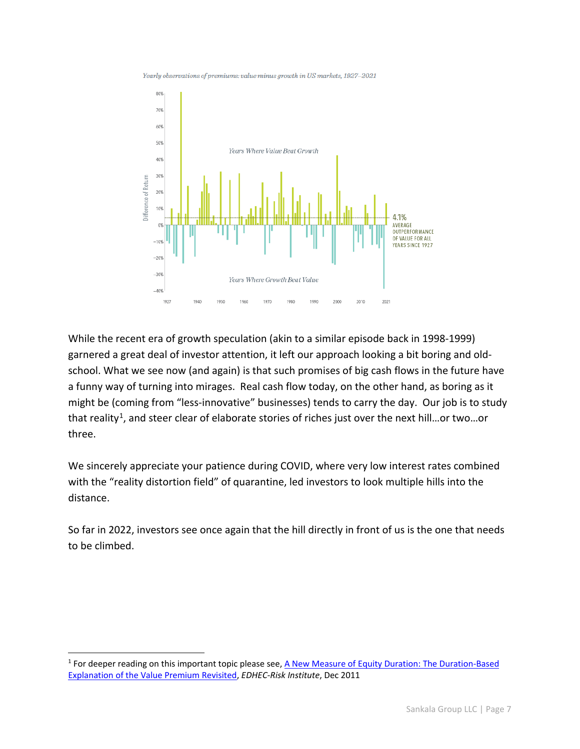Yearly observations of premiums: value minus growth in US markets, 1927-2021



While the recent era of growth speculation (akin to a similar episode back in 1998-1999) garnered a great deal of investor attention, it left our approach looking a bit boring and oldschool. What we see now (and again) is that such promises of big cash flows in the future have a funny way of turning into mirages. Real cash flow today, on the other hand, as boring as it might be (coming from "less-innovative" businesses) tends to carry the day. Our job is to study that reality<sup>[1](#page-6-0)</sup>, and steer clear of elaborate stories of riches just over the next hill...or two...or three.

We sincerely appreciate your patience during COVID, where very low interest rates combined with the "reality distortion field" of quarantine, led investors to look multiple hills into the distance.

So far in 2022, investors see once again that the hill directly in front of us is the one that needs to be climbed.

<span id="page-6-0"></span><sup>1</sup> For deeper reading on this important topic please see[, A New Measure of Equity Duration: The Duration-Based](https://risk.edhec.edu/sites/risk/files/EDHEC_Working_Paper_A_New_Measure_of_Equity_Duration_F.pdf)  [Explanation of the Value Premium Revisited,](https://risk.edhec.edu/sites/risk/files/EDHEC_Working_Paper_A_New_Measure_of_Equity_Duration_F.pdf) *EDHEC-Risk Institute*, Dec 2011